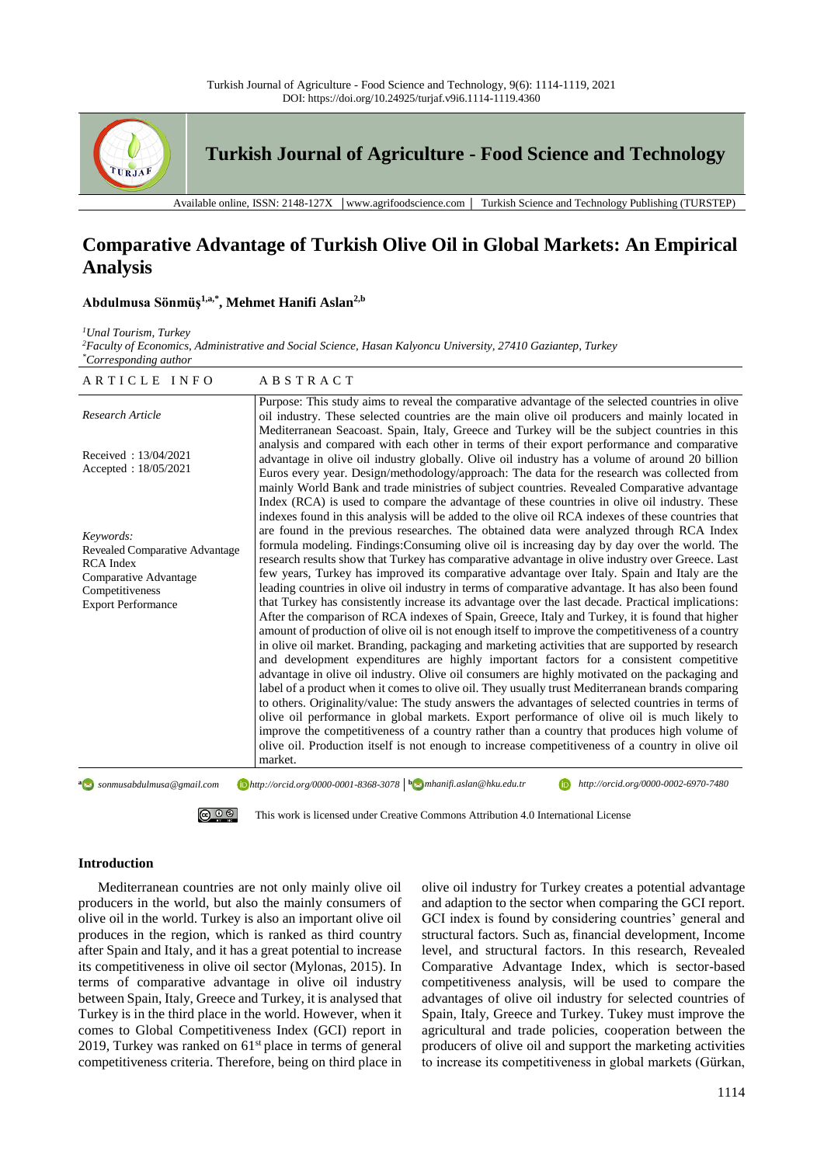

**Turkish Journal of Agriculture - Food Science and Technology**

Available online, ISSN: 2148-127X │www.agrifoodscience.com │ Turkish Science and Technology Publishing (TURSTEP)

# **Comparative Advantage of Turkish Olive Oil in Global Markets: An Empirical Analysis**

## **Abdulmusa Sönmüş1,a,\* , Mehmet Hanifi Aslan 2,b**

*<sup>1</sup>Unal Tourism, Turkey*

*<sup>2</sup>Faculty of Economics, Administrative and Social Science, Hasan Kalyoncu University, 27410 Gaziantep, Turkey \*Corresponding author*

| ARTICLE INFO                                                                                                                             | ABSTRACT                                                                                                                                                                                                                                                                                                                                                                                                                                                                                                                                                                                                                                                                                                                                                                                                                                                                                                                                                                                                                                                                                                                                                                                                                                                                                                                                                                                                                                                                                                                                                                                                                                                                                                                                                                                                                               |
|------------------------------------------------------------------------------------------------------------------------------------------|----------------------------------------------------------------------------------------------------------------------------------------------------------------------------------------------------------------------------------------------------------------------------------------------------------------------------------------------------------------------------------------------------------------------------------------------------------------------------------------------------------------------------------------------------------------------------------------------------------------------------------------------------------------------------------------------------------------------------------------------------------------------------------------------------------------------------------------------------------------------------------------------------------------------------------------------------------------------------------------------------------------------------------------------------------------------------------------------------------------------------------------------------------------------------------------------------------------------------------------------------------------------------------------------------------------------------------------------------------------------------------------------------------------------------------------------------------------------------------------------------------------------------------------------------------------------------------------------------------------------------------------------------------------------------------------------------------------------------------------------------------------------------------------------------------------------------------------|
| Research Article                                                                                                                         | Purpose: This study aims to reveal the comparative advantage of the selected countries in olive<br>oil industry. These selected countries are the main olive oil producers and mainly located in                                                                                                                                                                                                                                                                                                                                                                                                                                                                                                                                                                                                                                                                                                                                                                                                                                                                                                                                                                                                                                                                                                                                                                                                                                                                                                                                                                                                                                                                                                                                                                                                                                       |
| Received: 13/04/2021<br>Accepted: 18/05/2021                                                                                             | Mediterranean Seacoast. Spain, Italy, Greece and Turkey will be the subject countries in this<br>analysis and compared with each other in terms of their export performance and comparative<br>advantage in olive oil industry globally. Olive oil industry has a volume of around 20 billion<br>Euros every year. Design/methodology/approach: The data for the research was collected from<br>mainly World Bank and trade ministries of subject countries. Revealed Comparative advantage                                                                                                                                                                                                                                                                                                                                                                                                                                                                                                                                                                                                                                                                                                                                                                                                                                                                                                                                                                                                                                                                                                                                                                                                                                                                                                                                            |
| Keywords:<br>Revealed Comparative Advantage<br><b>RCA</b> Index<br>Comparative Advantage<br>Competitiveness<br><b>Export Performance</b> | Index (RCA) is used to compare the advantage of these countries in olive oil industry. These<br>indexes found in this analysis will be added to the olive oil RCA indexes of these countries that<br>are found in the previous researches. The obtained data were analyzed through RCA Index<br>formula modeling. Findings: Consuming olive oil is increasing day by day over the world. The<br>research results show that Turkey has comparative advantage in olive industry over Greece. Last<br>few years, Turkey has improved its comparative advantage over Italy. Spain and Italy are the<br>leading countries in olive oil industry in terms of comparative advantage. It has also been found<br>that Turkey has consistently increase its advantage over the last decade. Practical implications:<br>After the comparison of RCA indexes of Spain, Greece, Italy and Turkey, it is found that higher<br>amount of production of olive oil is not enough itself to improve the competitiveness of a country<br>in olive oil market. Branding, packaging and marketing activities that are supported by research<br>and development expenditures are highly important factors for a consistent competitive<br>advantage in olive oil industry. Olive oil consumers are highly motivated on the packaging and<br>label of a product when it comes to olive oil. They usually trust Mediterranean brands comparing<br>to others. Originality/value: The study answers the advantages of selected countries in terms of<br>olive oil performance in global markets. Export performance of olive oil is much likely to<br>improve the competitiveness of a country rather than a country that produces high volume of<br>olive oil. Production itself is not enough to increase competitiveness of a country in olive oil<br>market. |
| <sup>a</sup> sonmusabdulmusa@gmail.com                                                                                                   | $\bigcirc$ http://orcid.org/0000-0001-8368-3078 $\bigcirc$ mhanifi.aslan@hku.edu.tr<br>http://orcid.org/0000-0002-6970-7480                                                                                                                                                                                                                                                                                                                                                                                                                                                                                                                                                                                                                                                                                                                                                                                                                                                                                                                                                                                                                                                                                                                                                                                                                                                                                                                                                                                                                                                                                                                                                                                                                                                                                                            |

@ 0 ® [This work is licensed under Creative Commons Attribution 4.0 International License](http://creativecommons.org/licenses/by-nc/4.0/)

#### **Introduction**

Mediterranean countries are not only mainly olive oil producers in the world, but also the mainly consumers of olive oil in the world. Turkey is also an important olive oil produces in the region, which is ranked as third country after Spain and Italy, and it has a great potential to increase its competitiveness in olive oil sector (Mylonas, 2015). In terms of comparative advantage in olive oil industry between Spain, Italy, Greece and Turkey, it is analysed that Turkey is in the third place in the world. However, when it comes to Global Competitiveness Index (GCI) report in 2019, Turkey was ranked on  $61<sup>st</sup>$  place in terms of general competitiveness criteria. Therefore, being on third place in olive oil industry for Turkey creates a potential advantage and adaption to the sector when comparing the GCI report. GCI index is found by considering countries' general and structural factors. Such as, financial development, Income level, and structural factors. In this research, Revealed Comparative Advantage Index, which is sector-based competitiveness analysis, will be used to compare the advantages of olive oil industry for selected countries of Spain, Italy, Greece and Turkey. Tukey must improve the agricultural and trade policies, cooperation between the producers of olive oil and support the marketing activities to increase its competitiveness in global markets (Gürkan,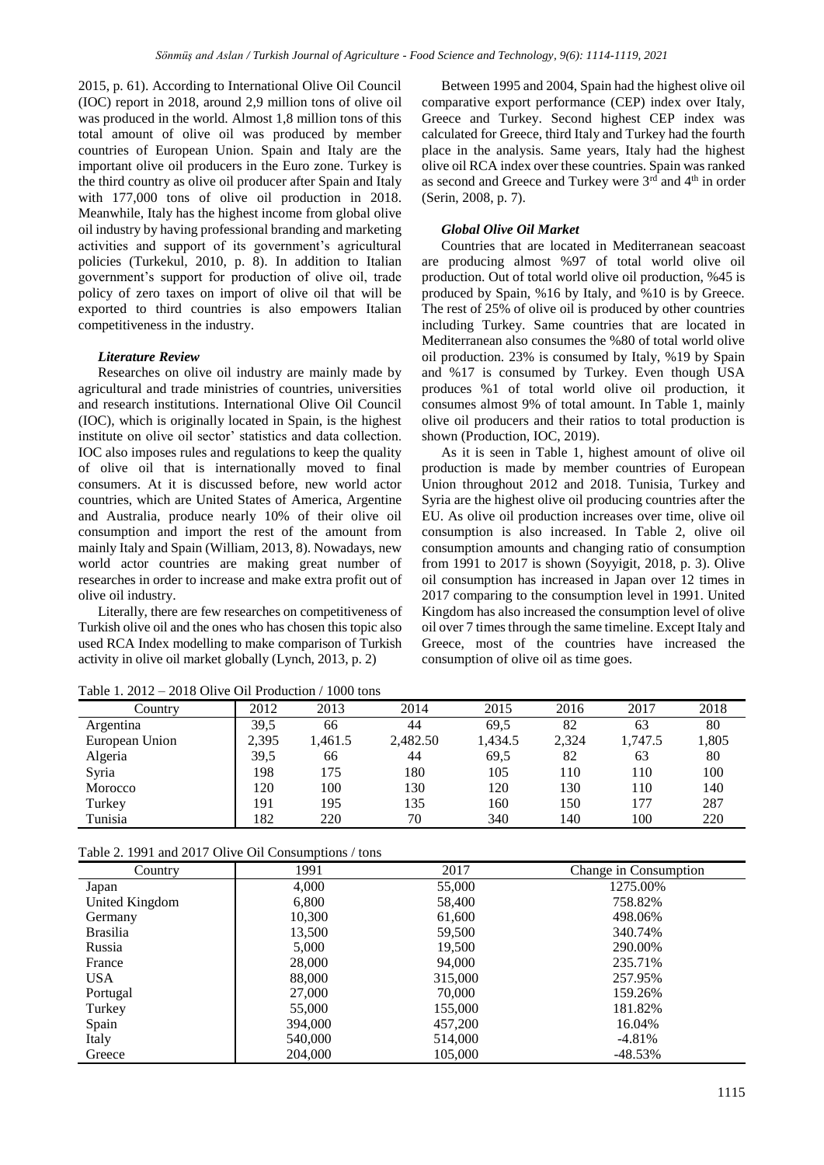2015, p. 61). According to International Olive Oil Council (IOC) report in 2018, around 2,9 million tons of olive oil was produced in the world. Almost 1,8 million tons of this total amount of olive oil was produced by member countries of European Union. Spain and Italy are the important olive oil producers in the Euro zone. Turkey is the third country as olive oil producer after Spain and Italy with 177,000 tons of olive oil production in 2018. Meanwhile, Italy has the highest income from global olive oil industry by having professional branding and marketing activities and support of its government's agricultural policies (Turkekul, 2010, p. 8). In addition to Italian government's support for production of olive oil, trade policy of zero taxes on import of olive oil that will be exported to third countries is also empowers Italian competitiveness in the industry.

## *Literature Review*

Researches on olive oil industry are mainly made by agricultural and trade ministries of countries, universities and research institutions. International Olive Oil Council (IOC), which is originally located in Spain, is the highest institute on olive oil sector' statistics and data collection. IOC also imposes rules and regulations to keep the quality of olive oil that is internationally moved to final consumers. At it is discussed before, new world actor countries, which are United States of America, Argentine and Australia, produce nearly 10% of their olive oil consumption and import the rest of the amount from mainly Italy and Spain (William, 2013, 8). Nowadays, new world actor countries are making great number of researches in order to increase and make extra profit out of olive oil industry.

Literally, there are few researches on competitiveness of Turkish olive oil and the ones who has chosen this topic also used RCA Index modelling to make comparison of Turkish activity in olive oil market globally (Lynch, 2013, p. 2)

Between 1995 and 2004, Spain had the highest olive oil comparative export performance (CEP) index over Italy, Greece and Turkey. Second highest CEP index was calculated for Greece, third Italy and Turkey had the fourth place in the analysis. Same years, Italy had the highest olive oil RCA index over these countries. Spain was ranked as second and Greece and Turkey were  $3<sup>rd</sup>$  and  $4<sup>th</sup>$  in order (Serin, 2008, p. 7).

#### *Global Olive Oil Market*

Countries that are located in Mediterranean seacoast are producing almost %97 of total world olive oil production. Out of total world olive oil production, %45 is produced by Spain, %16 by Italy, and %10 is by Greece. The rest of 25% of olive oil is produced by other countries including Turkey. Same countries that are located in Mediterranean also consumes the %80 of total world olive oil production. 23% is consumed by Italy, %19 by Spain and %17 is consumed by Turkey. Even though USA produces %1 of total world olive oil production, it consumes almost 9% of total amount. In Table 1, mainly olive oil producers and their ratios to total production is shown (Production, IOC, 2019).

As it is seen in Table 1, highest amount of olive oil production is made by member countries of European Union throughout 2012 and 2018. Tunisia, Turkey and Syria are the highest olive oil producing countries after the EU. As olive oil production increases over time, olive oil consumption is also increased. In Table 2, olive oil consumption amounts and changing ratio of consumption from 1991 to 2017 is shown (Soyyigit, 2018, p. 3). Olive oil consumption has increased in Japan over 12 times in 2017 comparing to the consumption level in 1991. United Kingdom has also increased the consumption level of olive oil over 7 times through the same timeline. Except Italy and Greece, most of the countries have increased the consumption of olive oil as time goes.

| $1400 \times 1.2012 = 2010$ On Ye On Troughtfon / 1000 tons |       |         |          |         |       |         |       |
|-------------------------------------------------------------|-------|---------|----------|---------|-------|---------|-------|
| Country                                                     | 2012  | 2013    | 2014     | 2015    | 2016  | 2017    | 2018  |
| Argentina                                                   | 39.5  | 66      | 44       | 69.5    | 82    | 63      | 80    |
| European Union                                              | 2,395 | 1,461.5 | 2,482.50 | 1,434.5 | 2,324 | 1,747.5 | 1,805 |
| Algeria                                                     | 39,5  | 66      | 44       | 69.5    | 82    | 63      | 80    |
| Syria                                                       | 198   | 175     | 180      | 105     | 110   | 110     | 100   |
| Morocco                                                     | 120   | 100     | 130      | 120     | 130   | 110     | 140   |
| Turkey                                                      | 191   | 195     | 135      | 160     | 150   | 177     | 287   |
| Tunisia                                                     | 182   | 220     | 70       | 340     | 140   | 100     | 220   |

Table 1.  $2012 - 2018$  Olive Oil Production / 1000 tons

| Table 2. 1991 and 2017 Olive Oil Consumptions / tons |  |  |  |
|------------------------------------------------------|--|--|--|
|------------------------------------------------------|--|--|--|

|                 | Table 2. $1771$ and $2017$ On ye On Consumptions / tons<br>1991 |         |                       |
|-----------------|-----------------------------------------------------------------|---------|-----------------------|
| Country         |                                                                 | 2017    | Change in Consumption |
| Japan           | 4,000                                                           | 55,000  | 1275.00%              |
| United Kingdom  | 6,800                                                           | 58,400  | 758.82%               |
| Germany         | 10,300                                                          | 61,600  | 498.06%               |
| <b>Brasilia</b> | 13,500                                                          | 59,500  | 340.74%               |
| Russia          | 5,000                                                           | 19,500  | 290.00%               |
| France          | 28,000                                                          | 94,000  | 235.71%               |
| <b>USA</b>      | 88,000                                                          | 315,000 | 257.95%               |
| Portugal        | 27,000                                                          | 70,000  | 159.26%               |
| Turkey          | 55,000                                                          | 155,000 | 181.82%               |
| Spain           | 394,000                                                         | 457,200 | 16.04%                |
| Italy           | 540,000                                                         | 514,000 | $-4.81%$              |
| Greece          | 204,000                                                         | 105,000 | $-48.53\%$            |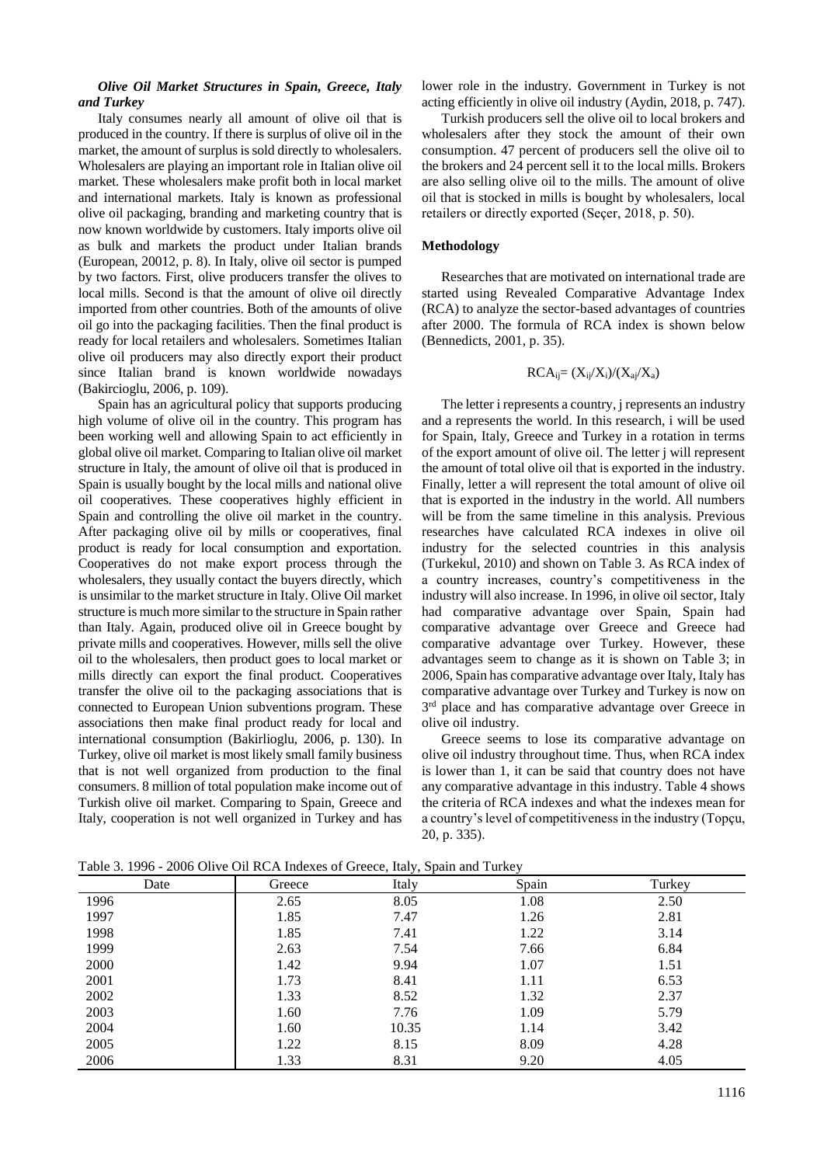#### *Olive Oil Market Structures in Spain, Greece, Italy and Turkey*

Italy consumes nearly all amount of olive oil that is produced in the country. If there is surplus of olive oil in the market, the amount of surplus is sold directly to wholesalers. Wholesalers are playing an important role in Italian olive oil market. These wholesalers make profit both in local market and international markets. Italy is known as professional olive oil packaging, branding and marketing country that is now known worldwide by customers. Italy imports olive oil as bulk and markets the product under Italian brands (European, 20012, p. 8). In Italy, olive oil sector is pumped by two factors. First, olive producers transfer the olives to local mills. Second is that the amount of olive oil directly imported from other countries. Both of the amounts of olive oil go into the packaging facilities. Then the final product is ready for local retailers and wholesalers. Sometimes Italian olive oil producers may also directly export their product since Italian brand is known worldwide nowadays (Bakircioglu, 2006, p. 109).

Spain has an agricultural policy that supports producing high volume of olive oil in the country. This program has been working well and allowing Spain to act efficiently in global olive oil market. Comparing to Italian olive oil market structure in Italy, the amount of olive oil that is produced in Spain is usually bought by the local mills and national olive oil cooperatives. These cooperatives highly efficient in Spain and controlling the olive oil market in the country. After packaging olive oil by mills or cooperatives, final product is ready for local consumption and exportation. Cooperatives do not make export process through the wholesalers, they usually contact the buyers directly, which is unsimilar to the market structure in Italy. Olive Oil market structure is much more similar to the structure in Spain rather than Italy. Again, produced olive oil in Greece bought by private mills and cooperatives. However, mills sell the olive oil to the wholesalers, then product goes to local market or mills directly can export the final product. Cooperatives transfer the olive oil to the packaging associations that is connected to European Union subventions program. These associations then make final product ready for local and international consumption (Bakirlioglu, 2006, p. 130). In Turkey, olive oil market is most likely small family business that is not well organized from production to the final consumers. 8 million of total population make income out of Turkish olive oil market. Comparing to Spain, Greece and Italy, cooperation is not well organized in Turkey and has lower role in the industry. Government in Turkey is not acting efficiently in olive oil industry (Aydin, 2018, p. 747).

Turkish producers sell the olive oil to local brokers and wholesalers after they stock the amount of their own consumption. 47 percent of producers sell the olive oil to the brokers and 24 percent sell it to the local mills. Brokers are also selling olive oil to the mills. The amount of olive oil that is stocked in mills is bought by wholesalers, local retailers or directly exported (Seçer, 2018, p. 50).

#### **Methodology**

Researches that are motivated on international trade are started using Revealed Comparative Advantage Index (RCA) to analyze the sector-based advantages of countries after 2000. The formula of RCA index is shown below (Bennedicts, 2001, p. 35).

$$
RCA_{ij}=(X_{ij}/X_i)/(X_{aj}/X_a)
$$

The letter i represents a country, i represents an industry and a represents the world. In this research, i will be used for Spain, Italy, Greece and Turkey in a rotation in terms of the export amount of olive oil. The letter j will represent the amount of total olive oil that is exported in the industry. Finally, letter a will represent the total amount of olive oil that is exported in the industry in the world. All numbers will be from the same timeline in this analysis. Previous researches have calculated RCA indexes in olive oil industry for the selected countries in this analysis (Turkekul, 2010) and shown on Table 3. As RCA index of a country increases, country's competitiveness in the industry will also increase. In 1996, in olive oil sector, Italy had comparative advantage over Spain, Spain had comparative advantage over Greece and Greece had comparative advantage over Turkey. However, these advantages seem to change as it is shown on Table 3; in 2006, Spain has comparative advantage over Italy, Italy has comparative advantage over Turkey and Turkey is now on 3<sup>rd</sup> place and has comparative advantage over Greece in olive oil industry.

Greece seems to lose its comparative advantage on olive oil industry throughout time. Thus, when RCA index is lower than 1, it can be said that country does not have any comparative advantage in this industry. Table 4 shows the criteria of RCA indexes and what the indexes mean for a country's level of competitiveness in the industry (Topçu, 20, p. 335).

| Date | Greece | Italy | Spain | Turkey |
|------|--------|-------|-------|--------|
| 1996 | 2.65   | 8.05  | 1.08  | 2.50   |
| 1997 | 1.85   | 7.47  | 1.26  | 2.81   |
| 1998 | 1.85   | 7.41  | 1.22  | 3.14   |
| 1999 | 2.63   | 7.54  | 7.66  | 6.84   |
| 2000 | 1.42   | 9.94  | 1.07  | 1.51   |
| 2001 | 1.73   | 8.41  | 1.11  | 6.53   |
| 2002 | 1.33   | 8.52  | 1.32  | 2.37   |
| 2003 | 1.60   | 7.76  | 1.09  | 5.79   |
| 2004 | 1.60   | 10.35 | 1.14  | 3.42   |
| 2005 | 1.22   | 8.15  | 8.09  | 4.28   |
| 2006 | 1.33   | 8.31  | 9.20  | 4.05   |

Table 3. 1996 - 2006 Olive Oil RCA Indexes of Greece, Italy, Spain and Turkey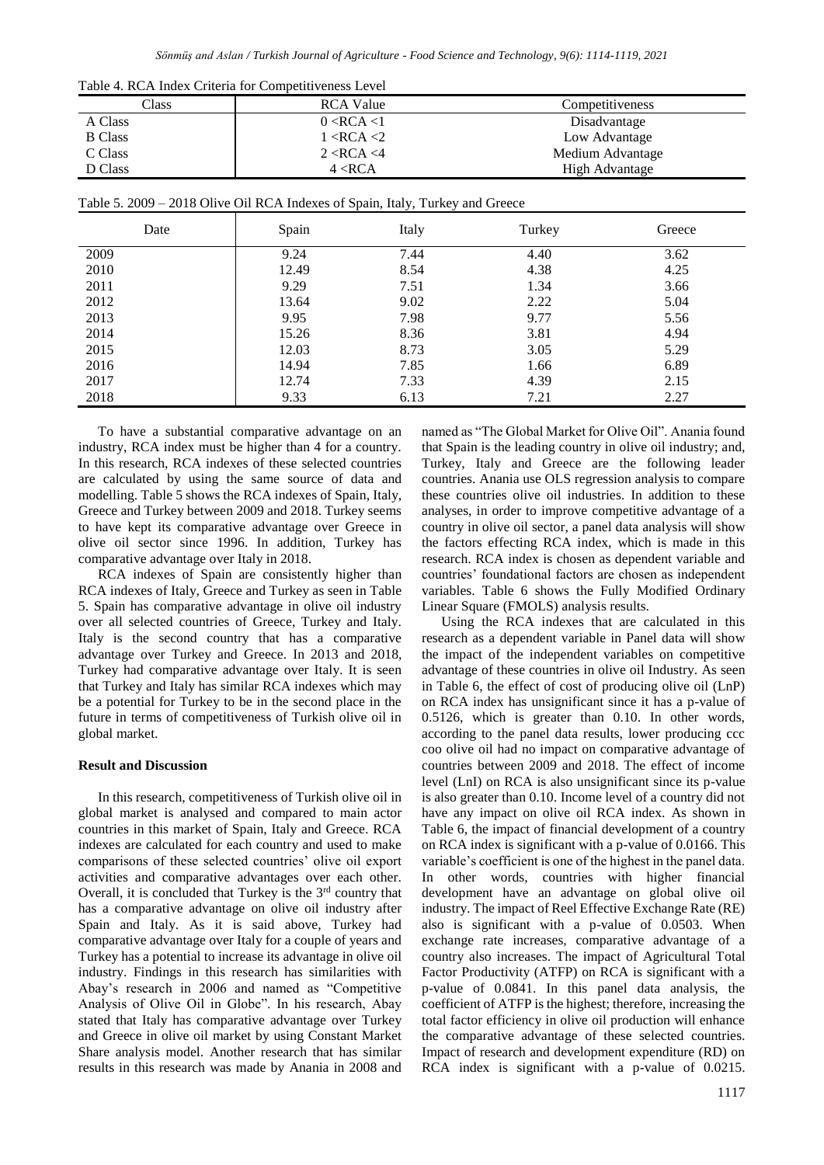*Sönmüş and Aslan / Turkish Journal of Agriculture - Food Science and Technology, 9(6): 1114-1119, 2021*

| Table 4. RCA Index Criteria for Competitiveness Level |                  |                  |  |  |
|-------------------------------------------------------|------------------|------------------|--|--|
| Class                                                 | <b>RCA Value</b> | Competitiveness  |  |  |
| A Class                                               | 0 < RCA < 1      | Disadvantage     |  |  |
| <b>B</b> Class                                        | 1 < RCA < 2      | Low Advantage    |  |  |
| C Class                                               | 2 < RCA < 4      | Medium Advantage |  |  |
| D Class                                               | 4 < RCA          | High Advantage   |  |  |

| Date | Spain | Italy | Turkey | Greece |
|------|-------|-------|--------|--------|
| 2009 | 9.24  | 7.44  | 4.40   | 3.62   |
| 2010 | 12.49 | 8.54  | 4.38   | 4.25   |
| 2011 | 9.29  | 7.51  | 1.34   | 3.66   |
| 2012 | 13.64 | 9.02  | 2.22   | 5.04   |
| 2013 | 9.95  | 7.98  | 9.77   | 5.56   |
| 2014 | 15.26 | 8.36  | 3.81   | 4.94   |
| 2015 | 12.03 | 8.73  | 3.05   | 5.29   |
| 2016 | 14.94 | 7.85  | 1.66   | 6.89   |
| 2017 | 12.74 | 7.33  | 4.39   | 2.15   |
| 2018 | 9.33  | 6.13  | 7.21   | 2.27   |

To have a substantial comparative advantage on an industry, RCA index must be higher than 4 for a country. In this research, RCA indexes of these selected countries are calculated by using the same source of data and modelling. Table 5 shows the RCA indexes of Spain, Italy, Greece and Turkey between 2009 and 2018. Turkey seems to have kept its comparative advantage over Greece in olive oil sector since 1996. In addition, Turkey has comparative advantage over Italy in 2018.

RCA indexes of Spain are consistently higher than RCA indexes of Italy, Greece and Turkey as seen in Table 5. Spain has comparative advantage in olive oil industry over all selected countries of Greece, Turkey and Italy. Italy is the second country that has a comparative advantage over Turkey and Greece. In 2013 and 2018, Turkey had comparative advantage over Italy. It is seen that Turkey and Italy has similar RCA indexes which may be a potential for Turkey to be in the second place in the future in terms of competitiveness of Turkish olive oil in global market.

## **Result and Discussion**

In this research, competitiveness of Turkish olive oil in global market is analysed and compared to main actor countries in this market of Spain, Italy and Greece. RCA indexes are calculated for each country and used to make comparisons of these selected countries' olive oil export activities and comparative advantages over each other. Overall, it is concluded that Turkey is the  $3<sup>rd</sup>$  country that has a comparative advantage on olive oil industry after Spain and Italy. As it is said above, Turkey had comparative advantage over Italy for a couple of years and Turkey has a potential to increase its advantage in olive oil industry. Findings in this research has similarities with Abay's research in 2006 and named as "Competitive Analysis of Olive Oil in Globe". In his research, Abay stated that Italy has comparative advantage over Turkey and Greece in olive oil market by using Constant Market Share analysis model. Another research that has similar results in this research was made by Anania in 2008 and named as "The Global Market for Olive Oil". Anania found that Spain is the leading country in olive oil industry; and, Turkey, Italy and Greece are the following leader countries. Anania use OLS regression analysis to compare these countries olive oil industries. In addition to these analyses, in order to improve competitive advantage of a country in olive oil sector, a panel data analysis will show the factors effecting RCA index, which is made in this research. RCA index is chosen as dependent variable and countries' foundational factors are chosen as independent variables. Table 6 shows the Fully Modified Ordinary Linear Square (FMOLS) analysis results.

Using the RCA indexes that are calculated in this research as a dependent variable in Panel data will show the impact of the independent variables on competitive advantage of these countries in olive oil Industry. As seen in Table 6, the effect of cost of producing olive oil (LnP) on RCA index has unsignificant since it has a p-value of 0.5126, which is greater than 0.10. In other words, according to the panel data results, lower producing ccc coo olive oil had no impact on comparative advantage of countries between 2009 and 2018. The effect of income level (LnI) on RCA is also unsignificant since its p-value is also greater than 0.10. Income level of a country did not have any impact on olive oil RCA index. As shown in Table 6, the impact of financial development of a country on RCA index is significant with a p-value of 0.0166. This variable's coefficient is one of the highest in the panel data. In other words, countries with higher financial development have an advantage on global olive oil industry. The impact of Reel Effective Exchange Rate (RE) also is significant with a p-value of 0.0503. When exchange rate increases, comparative advantage of a country also increases. The impact of Agricultural Total Factor Productivity (ATFP) on RCA is significant with a p-value of 0.0841. In this panel data analysis, the coefficient of ATFP is the highest; therefore, increasing the total factor efficiency in olive oil production will enhance the comparative advantage of these selected countries. Impact of research and development expenditure (RD) on RCA index is significant with a p-value of 0.0215.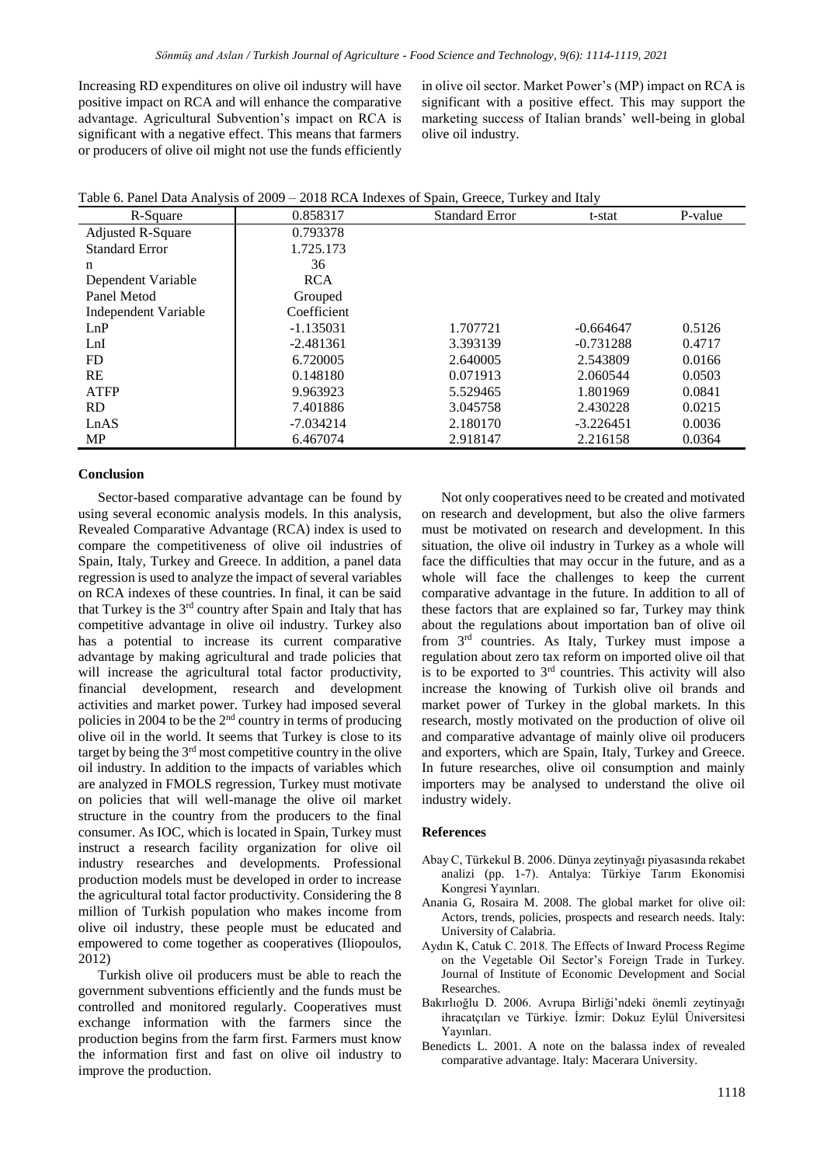Increasing RD expenditures on olive oil industry will have positive impact on RCA and will enhance the comparative advantage. Agricultural Subvention's impact on RCA is significant with a negative effect. This means that farmers or producers of olive oil might not use the funds efficiently in olive oil sector. Market Power's (MP) impact on RCA is significant with a positive effect. This may support the marketing success of Italian brands' well-being in global olive oil industry.

Table 6. Panel Data Analysis of 2009 – 2018 RCA Indexes of Spain, Greece, Turkey and Italy

| R-Square                 | 0.858317    | <b>Standard Error</b> | t-stat      | P-value |
|--------------------------|-------------|-----------------------|-------------|---------|
| <b>Adjusted R-Square</b> | 0.793378    |                       |             |         |
| <b>Standard Error</b>    | 1.725.173   |                       |             |         |
| n                        | 36          |                       |             |         |
| Dependent Variable       | <b>RCA</b>  |                       |             |         |
| Panel Metod              | Grouped     |                       |             |         |
| Independent Variable     | Coefficient |                       |             |         |
| LnP                      | $-1.135031$ | 1.707721              | $-0.664647$ | 0.5126  |
| LnI                      | $-2.481361$ | 3.393139              | $-0.731288$ | 0.4717  |
| FD                       | 6.720005    | 2.640005              | 2.543809    | 0.0166  |
| RE                       | 0.148180    | 0.071913              | 2.060544    | 0.0503  |
| <b>ATFP</b>              | 9.963923    | 5.529465              | 1.801969    | 0.0841  |
| RD.                      | 7.401886    | 3.045758              | 2.430228    | 0.0215  |
| LnAS                     | $-7.034214$ | 2.180170              | $-3.226451$ | 0.0036  |
| MP                       | 6.467074    | 2.918147              | 2.216158    | 0.0364  |

#### **Conclusion**

Sector-based comparative advantage can be found by using several economic analysis models. In this analysis, Revealed Comparative Advantage (RCA) index is used to compare the competitiveness of olive oil industries of Spain, Italy, Turkey and Greece. In addition, a panel data regression is used to analyze the impact of several variables on RCA indexes of these countries. In final, it can be said that Turkey is the 3rd country after Spain and Italy that has competitive advantage in olive oil industry. Turkey also has a potential to increase its current comparative advantage by making agricultural and trade policies that will increase the agricultural total factor productivity, financial development, research and development activities and market power. Turkey had imposed several policies in 2004 to be the  $2<sup>nd</sup>$  country in terms of producing olive oil in the world. It seems that Turkey is close to its target by being the 3rd most competitive country in the olive oil industry. In addition to the impacts of variables which are analyzed in FMOLS regression, Turkey must motivate on policies that will well-manage the olive oil market structure in the country from the producers to the final consumer. As IOC, which is located in Spain, Turkey must instruct a research facility organization for olive oil industry researches and developments. Professional production models must be developed in order to increase the agricultural total factor productivity. Considering the 8 million of Turkish population who makes income from olive oil industry, these people must be educated and empowered to come together as cooperatives (Iliopoulos, 2012)

Turkish olive oil producers must be able to reach the government subventions efficiently and the funds must be controlled and monitored regularly. Cooperatives must exchange information with the farmers since the production begins from the farm first. Farmers must know the information first and fast on olive oil industry to improve the production.

Not only cooperatives need to be created and motivated on research and development, but also the olive farmers must be motivated on research and development. In this situation, the olive oil industry in Turkey as a whole will face the difficulties that may occur in the future, and as a whole will face the challenges to keep the current comparative advantage in the future. In addition to all of these factors that are explained so far, Turkey may think about the regulations about importation ban of olive oil from 3rd countries. As Italy, Turkey must impose a regulation about zero tax reform on imported olive oil that is to be exported to  $3<sup>rd</sup>$  countries. This activity will also increase the knowing of Turkish olive oil brands and market power of Turkey in the global markets. In this research, mostly motivated on the production of olive oil and comparative advantage of mainly olive oil producers and exporters, which are Spain, Italy, Turkey and Greece. In future researches, olive oil consumption and mainly importers may be analysed to understand the olive oil industry widely.

#### **References**

- Abay C, Türkekul B. 2006. Dünya zeytinyağı piyasasında rekabet analizi (pp. 1-7). Antalya: Türkiye Tarım Ekonomisi Kongresi Yayınları.
- Anania G, Rosaira M. 2008. The global market for olive oil: Actors, trends, policies, prospects and research needs. Italy: University of Calabria.
- Aydın K, Catuk C. 2018. The Effects of Inward Process Regime on the Vegetable Oil Sector's Foreign Trade in Turkey. Journal of Institute of Economic Development and Social Researches.
- Bakırlıoğlu D. 2006. Avrupa Birliği'ndeki önemli zeytinyağı ihracatçıları ve Türkiye. İzmir: Dokuz Eylül Üniversitesi Yayınları.
- Benedicts L. 2001. A note on the balassa index of revealed comparative advantage. Italy: Macerara University.